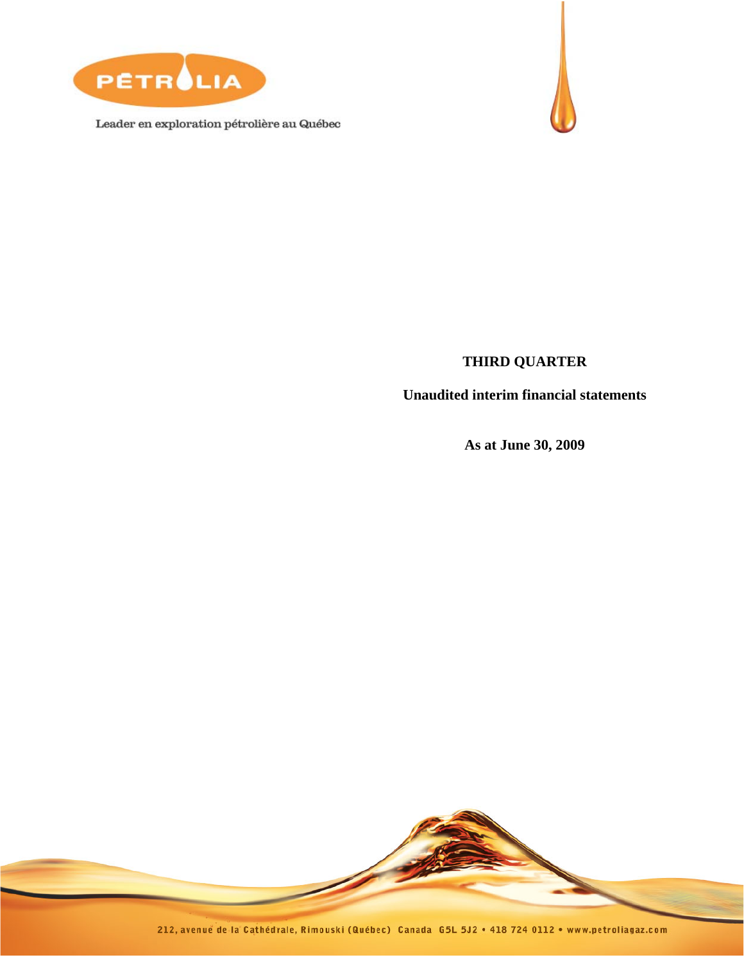

Leader en exploration pétrolière au Québec



# **THIRD QUARTER**

**Unaudited interim financial statements** 

**As at June 30, 2009** 

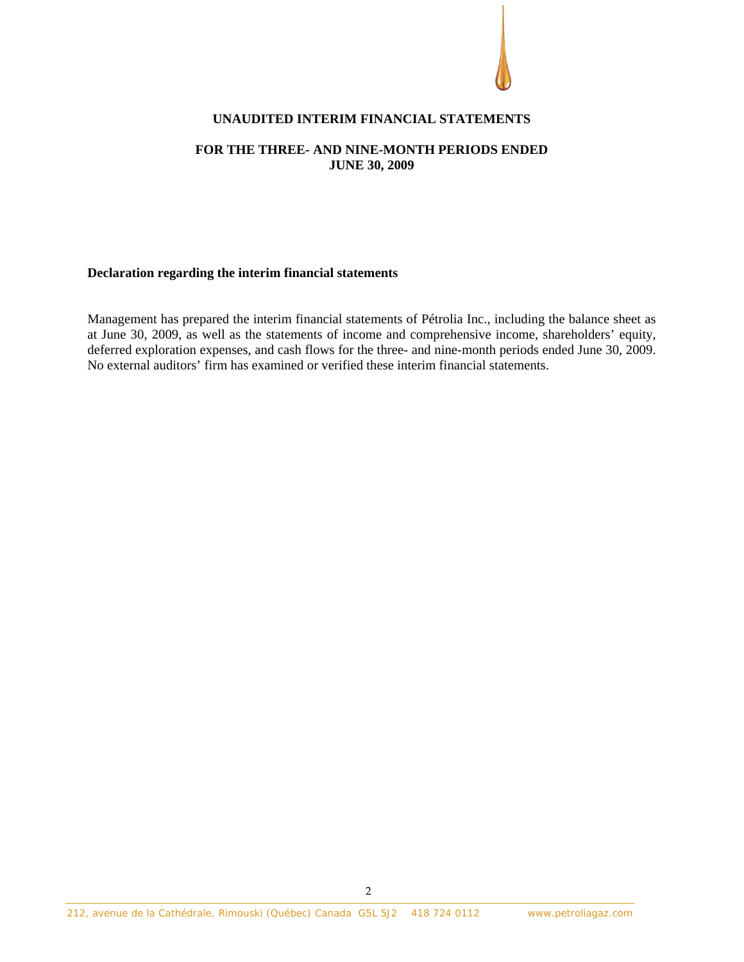

### **UNAUDITED INTERIM FINANCIAL STATEMENTS**

### **FOR THE THREE- AND NINE-MONTH PERIODS ENDED JUNE 30, 2009**

### **Declaration regarding the interim financial statements**

Management has prepared the interim financial statements of Pétrolia Inc., including the balance sheet as at June 30, 2009, as well as the statements of income and comprehensive income, shareholders' equity, deferred exploration expenses, and cash flows for the three- and nine-month periods ended June 30, 2009. No external auditors' firm has examined or verified these interim financial statements.

2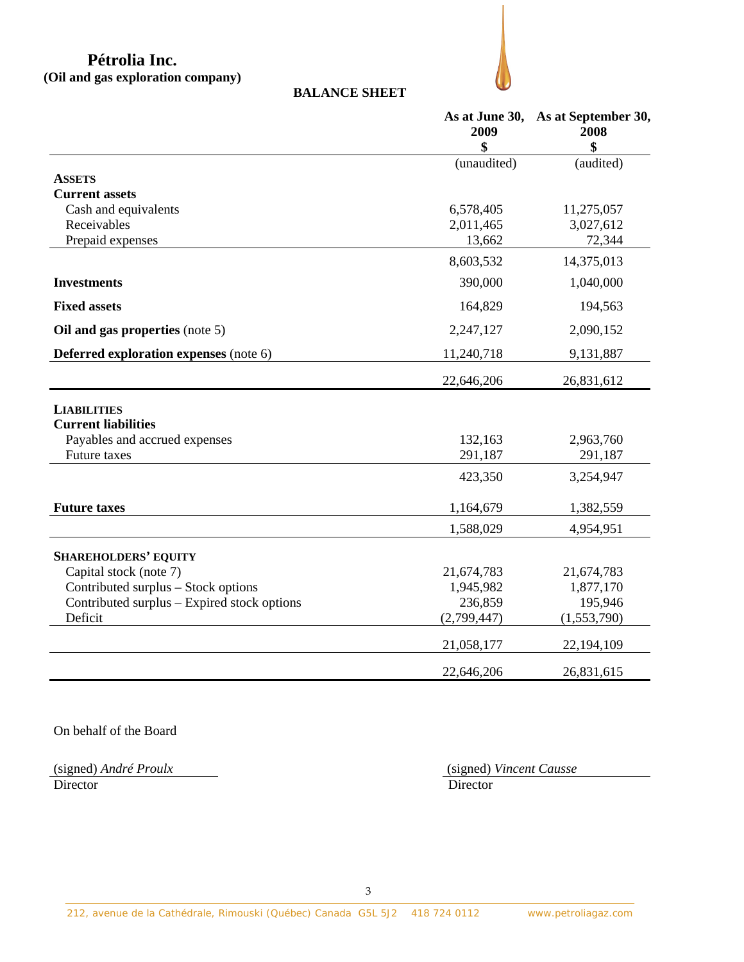# **Pétrolia Inc. (Oil and gas exploration company)**

**BALANCE SHEET** 

|                                             | As at June 30,<br>2009 | As at September 30,<br>2008 |
|---------------------------------------------|------------------------|-----------------------------|
|                                             | \$                     | \$                          |
|                                             | (unaudited)            | (audited)                   |
| <b>ASSETS</b>                               |                        |                             |
| <b>Current assets</b>                       |                        |                             |
| Cash and equivalents                        | 6,578,405              | 11,275,057                  |
| Receivables                                 | 2,011,465<br>13,662    | 3,027,612<br>72,344         |
| Prepaid expenses                            |                        |                             |
|                                             | 8,603,532              | 14,375,013                  |
| <b>Investments</b>                          | 390,000                | 1,040,000                   |
| <b>Fixed assets</b>                         | 164,829                | 194,563                     |
| Oil and gas properties (note 5)             | 2,247,127              | 2,090,152                   |
| Deferred exploration expenses (note 6)      | 11,240,718             | 9,131,887                   |
|                                             | 22,646,206             | 26,831,612                  |
| <b>LIABILITIES</b>                          |                        |                             |
| <b>Current liabilities</b>                  |                        |                             |
| Payables and accrued expenses               | 132,163                | 2,963,760                   |
| Future taxes                                | 291,187                | 291,187                     |
|                                             | 423,350                | 3,254,947                   |
| <b>Future taxes</b>                         | 1,164,679              | 1,382,559                   |
|                                             | 1,588,029              | 4,954,951                   |
| <b>SHAREHOLDERS' EQUITY</b>                 |                        |                             |
| Capital stock (note 7)                      | 21,674,783             | 21,674,783                  |
| Contributed surplus – Stock options         | 1,945,982              | 1,877,170                   |
| Contributed surplus – Expired stock options | 236,859                | 195,946                     |
| Deficit                                     | (2,799,447)            | (1,553,790)                 |
|                                             | 21,058,177             | 22,194,109                  |
|                                             | 22,646,206             | 26,831,615                  |

On behalf of the Board

(signed) André Proulx<br>Director

(signed) *André Proulx* (signed) *Vincent Causse*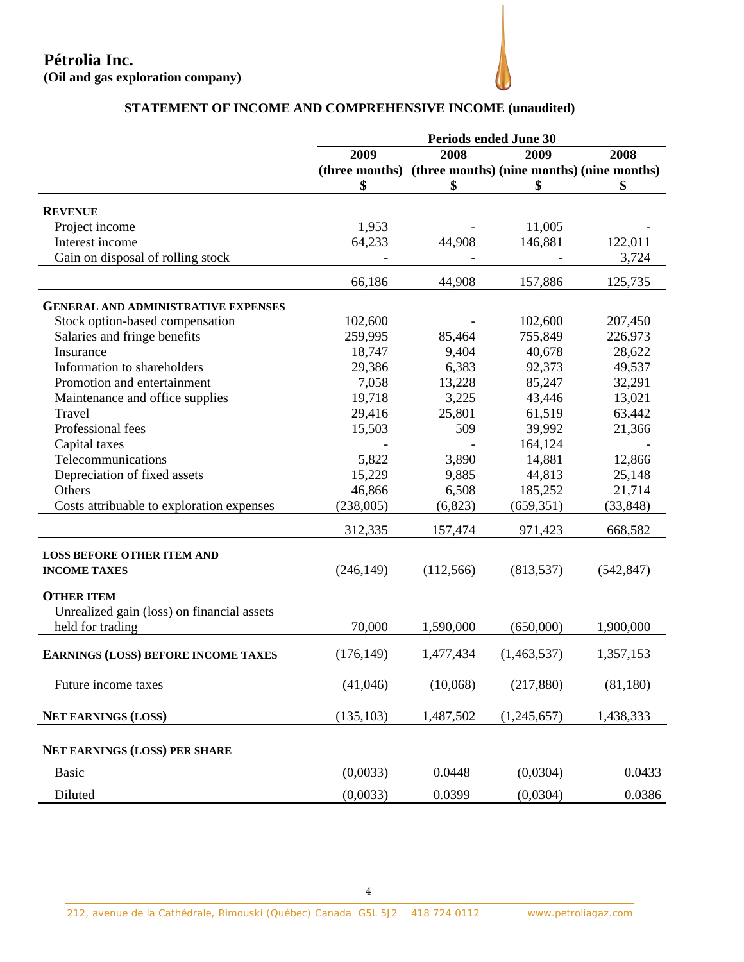

# **STATEMENT OF INCOME AND COMPREHENSIVE INCOME (unaudited)**

|                                            | <b>Periods ended June 30</b> |           |                                                           |            |
|--------------------------------------------|------------------------------|-----------|-----------------------------------------------------------|------------|
|                                            | 2009                         | 2008      | 2009                                                      | 2008       |
|                                            |                              |           | (three months) (three months) (nine months) (nine months) |            |
|                                            | \$                           | \$        | \$                                                        | \$         |
| <b>REVENUE</b>                             |                              |           |                                                           |            |
| Project income                             | 1,953                        |           | 11,005                                                    |            |
| Interest income                            | 64,233                       | 44,908    | 146,881                                                   | 122,011    |
| Gain on disposal of rolling stock          |                              |           |                                                           | 3,724      |
|                                            |                              |           |                                                           |            |
|                                            | 66,186                       | 44,908    | 157,886                                                   | 125,735    |
| <b>GENERAL AND ADMINISTRATIVE EXPENSES</b> |                              |           |                                                           |            |
| Stock option-based compensation            | 102,600                      |           | 102,600                                                   | 207,450    |
| Salaries and fringe benefits               | 259,995                      | 85,464    | 755,849                                                   | 226,973    |
| Insurance                                  | 18,747                       | 9,404     | 40,678                                                    | 28,622     |
| Information to shareholders                | 29,386                       | 6,383     | 92,373                                                    | 49,537     |
| Promotion and entertainment                | 7,058                        | 13,228    | 85,247                                                    | 32,291     |
| Maintenance and office supplies            | 19,718                       | 3,225     | 43,446                                                    | 13,021     |
| Travel                                     | 29,416                       | 25,801    | 61,519                                                    | 63,442     |
| Professional fees                          | 15,503                       | 509       | 39,992                                                    | 21,366     |
| Capital taxes                              |                              |           | 164,124                                                   |            |
| Telecommunications                         | 5,822                        | 3,890     | 14,881                                                    | 12,866     |
| Depreciation of fixed assets               | 15,229                       | 9,885     | 44,813                                                    | 25,148     |
| Others                                     | 46,866                       | 6,508     | 185,252                                                   | 21,714     |
| Costs attribuable to exploration expenses  | (238,005)                    | (6, 823)  | (659, 351)                                                | (33, 848)  |
|                                            | 312,335                      | 157,474   | 971,423                                                   | 668,582    |
| <b>LOSS BEFORE OTHER ITEM AND</b>          |                              |           |                                                           |            |
| <b>INCOME TAXES</b>                        | (246, 149)                   | (112,566) | (813, 537)                                                | (542, 847) |
|                                            |                              |           |                                                           |            |
| <b>OTHER ITEM</b>                          |                              |           |                                                           |            |
| Unrealized gain (loss) on financial assets |                              |           |                                                           |            |
| held for trading                           | 70,000                       | 1,590,000 | (650,000)                                                 | 1,900,000  |
| <b>EARNINGS (LOSS) BEFORE INCOME TAXES</b> | (176, 149)                   | 1,477,434 | (1,463,537)                                               | 1,357,153  |
| Future income taxes                        | (41,046)                     | (10,068)  | (217, 880)                                                | (81, 180)  |
|                                            |                              |           |                                                           |            |
| <b>NET EARNINGS (LOSS)</b>                 | (135, 103)                   | 1,487,502 | (1,245,657)                                               | 1,438,333  |
| <b>NET EARNINGS (LOSS) PER SHARE</b>       |                              |           |                                                           |            |
| <b>Basic</b>                               | (0,0033)                     | 0.0448    | (0,0304)                                                  | 0.0433     |
| Diluted                                    | (0,0033)                     | 0.0399    | (0,0304)                                                  | 0.0386     |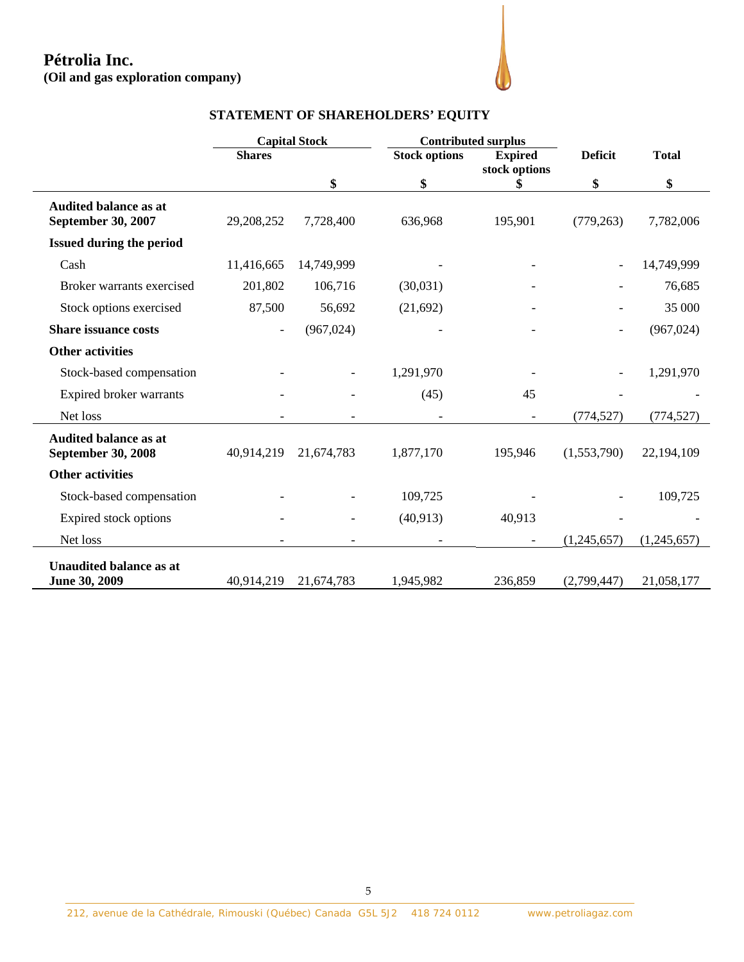| (Oil and gas exploration company)                         |               |                      |                                   |                                 |                |              |
|-----------------------------------------------------------|---------------|----------------------|-----------------------------------|---------------------------------|----------------|--------------|
|                                                           |               |                      | STATEMENT OF SHAREHOLDERS' EQUITY |                                 |                |              |
|                                                           |               | <b>Capital Stock</b> |                                   | <b>Contributed surplus</b>      |                |              |
|                                                           | <b>Shares</b> |                      | <b>Stock options</b>              | <b>Expired</b><br>stock options | <b>Deficit</b> | <b>Total</b> |
|                                                           |               | \$                   | \$                                | \$                              | \$             | \$           |
| <b>Audited balance as at</b><br>September 30, 2007        | 29,208,252    | 7,728,400            | 636,968                           | 195,901                         | (779, 263)     | 7,782,006    |
| <b>Issued during the period</b>                           |               |                      |                                   |                                 |                |              |
| Cash                                                      | 11,416,665    | 14,749,999           |                                   |                                 |                | 14,749,999   |
| Broker warrants exercised                                 | 201,802       | 106,716              | (30,031)                          |                                 |                | 76,685       |
| Stock options exercised                                   | 87,500        | 56,692               | (21,692)                          |                                 |                | 35 000       |
| <b>Share issuance costs</b>                               |               | (967, 024)           |                                   |                                 |                | (967, 024)   |
| <b>Other activities</b>                                   |               |                      |                                   |                                 |                |              |
| Stock-based compensation                                  |               |                      | 1,291,970                         |                                 |                | 1,291,970    |
| Expired broker warrants                                   |               |                      | (45)                              | 45                              |                |              |
| Net loss                                                  |               |                      |                                   | $\overline{\phantom{a}}$        | (774, 527)     | (774, 527)   |
| <b>Audited balance as at</b><br><b>September 30, 2008</b> | 40,914,219    | 21,674,783           | 1,877,170                         | 195,946                         | (1,553,790)    | 22,194,109   |
| <b>Other activities</b>                                   |               |                      |                                   |                                 |                |              |
| Stock-based compensation                                  |               |                      | 109,725                           |                                 |                | 109,725      |
| Expired stock options                                     |               |                      | (40, 913)                         | 40,913                          |                |              |
| Net loss                                                  |               |                      |                                   |                                 | (1,245,657)    | (1,245,657)  |
| <b>Unaudited balance as at</b><br>June 30, 2009           | 40,914,219    | 21,674,783           | 1,945,982                         | 236,859                         | (2,799,447)    | 21,058,177   |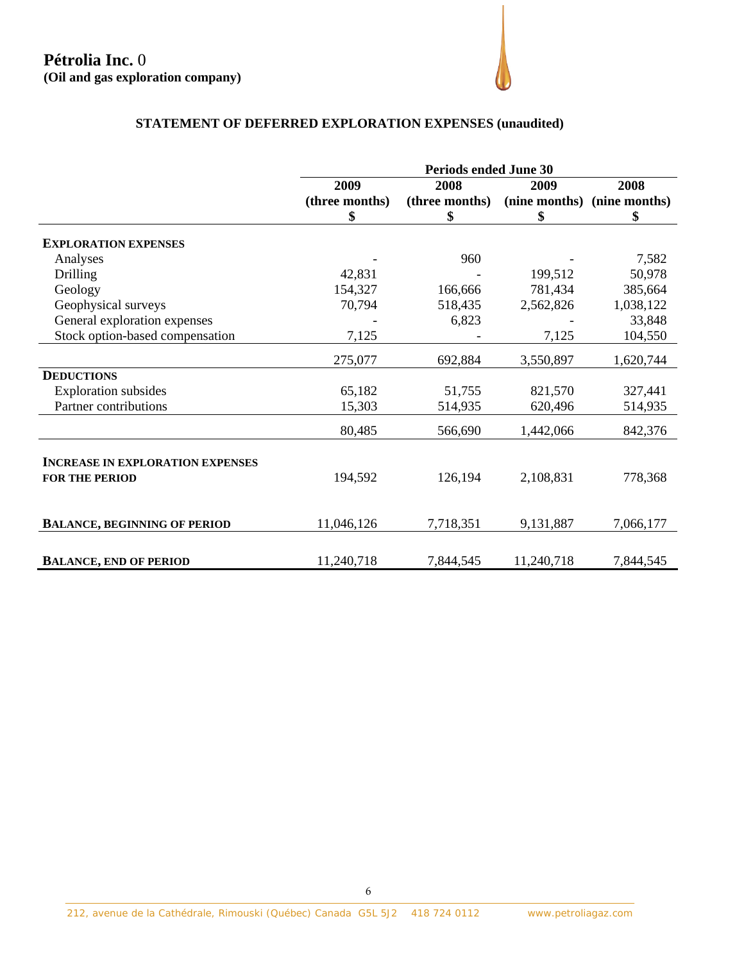# **STATEMENT OF DEFERRED EXPLORATION EXPENSES (unaudited)**

|                                                                  | <b>Periods ended June 30</b> |                |            |                             |
|------------------------------------------------------------------|------------------------------|----------------|------------|-----------------------------|
|                                                                  | 2009                         | 2008           | 2009       | 2008                        |
|                                                                  | (three months)               | (three months) |            | (nine months) (nine months) |
|                                                                  | \$                           | \$             | \$         | \$                          |
| <b>EXPLORATION EXPENSES</b>                                      |                              |                |            |                             |
| Analyses                                                         |                              | 960            |            | 7,582                       |
| Drilling                                                         | 42,831                       |                | 199,512    | 50,978                      |
| Geology                                                          | 154,327                      | 166,666        | 781,434    | 385,664                     |
| Geophysical surveys                                              | 70,794                       | 518,435        | 2,562,826  | 1,038,122                   |
| General exploration expenses                                     |                              | 6,823          |            | 33,848                      |
| Stock option-based compensation                                  | 7,125                        |                | 7,125      | 104,550                     |
|                                                                  | 275,077                      | 692,884        | 3,550,897  | 1,620,744                   |
| <b>DEDUCTIONS</b>                                                |                              |                |            |                             |
| <b>Exploration</b> subsides                                      | 65,182                       | 51,755         | 821,570    | 327,441                     |
| Partner contributions                                            | 15,303                       | 514,935        | 620,496    | 514,935                     |
|                                                                  | 80,485                       | 566,690        | 1,442,066  | 842,376                     |
| <b>INCREASE IN EXPLORATION EXPENSES</b><br><b>FOR THE PERIOD</b> | 194,592                      | 126,194        | 2,108,831  | 778,368                     |
| <b>BALANCE, BEGINNING OF PERIOD</b>                              | 11,046,126                   | 7,718,351      | 9,131,887  | 7,066,177                   |
| <b>BALANCE, END OF PERIOD</b>                                    | 11,240,718                   | 7,844,545      | 11,240,718 | 7,844,545                   |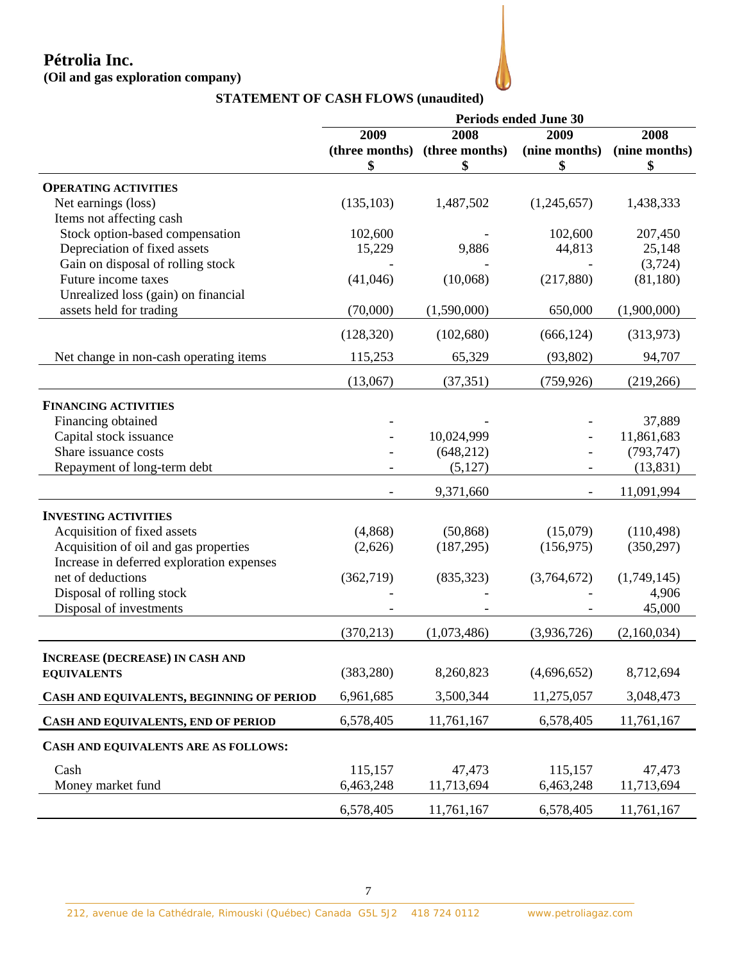# **Pétrolia Inc.**

# **(Oil and gas exploration company)**

|                                           | <b>Periods ended June 30</b> |                               |               |               |
|-------------------------------------------|------------------------------|-------------------------------|---------------|---------------|
|                                           | 2009                         | 2008                          | 2009          | 2008          |
|                                           |                              | (three months) (three months) | (nine months) | (nine months) |
|                                           | \$                           | \$                            | \$            | \$            |
| <b>OPERATING ACTIVITIES</b>               |                              |                               |               |               |
| Net earnings (loss)                       | (135, 103)                   | 1,487,502                     | (1,245,657)   | 1,438,333     |
| Items not affecting cash                  |                              |                               |               |               |
| Stock option-based compensation           | 102,600                      |                               | 102,600       | 207,450       |
| Depreciation of fixed assets              | 15,229                       | 9,886                         | 44,813        | 25,148        |
| Gain on disposal of rolling stock         |                              |                               |               | (3,724)       |
| Future income taxes                       | (41,046)                     | (10,068)                      | (217,880)     | (81, 180)     |
| Unrealized loss (gain) on financial       |                              |                               |               |               |
| assets held for trading                   | (70,000)                     | (1,590,000)                   | 650,000       | (1,900,000)   |
|                                           |                              |                               |               |               |
|                                           | (128, 320)                   | (102, 680)                    | (666, 124)    | (313,973)     |
| Net change in non-cash operating items    | 115,253                      | 65,329                        | (93, 802)     | 94,707        |
|                                           | (13,067)                     | (37, 351)                     | (759, 926)    | (219, 266)    |
| <b>FINANCING ACTIVITIES</b>               |                              |                               |               |               |
| Financing obtained                        |                              |                               |               | 37,889        |
| Capital stock issuance                    |                              | 10,024,999                    |               | 11,861,683    |
| Share issuance costs                      |                              | (648, 212)                    |               | (793, 747)    |
| Repayment of long-term debt               |                              | (5,127)                       |               | (13, 831)     |
|                                           |                              |                               |               |               |
|                                           |                              | 9,371,660                     |               | 11,091,994    |
| <b>INVESTING ACTIVITIES</b>               |                              |                               |               |               |
| Acquisition of fixed assets               | (4,868)                      | (50, 868)                     | (15,079)      | (110, 498)    |
| Acquisition of oil and gas properties     | (2,626)                      | (187, 295)                    | (156, 975)    | (350, 297)    |
| Increase in deferred exploration expenses |                              |                               |               |               |
| net of deductions                         | (362, 719)                   | (835, 323)                    | (3,764,672)   | (1,749,145)   |
| Disposal of rolling stock                 |                              |                               |               | 4,906         |
| Disposal of investments                   |                              |                               |               | 45,000        |
|                                           | (370, 213)                   | (1,073,486)                   | (3,936,726)   | (2,160,034)   |
| <b>INCREASE (DECREASE) IN CASH AND</b>    |                              |                               |               |               |
| <b>EQUIVALENTS</b>                        | (383, 280)                   | 8,260,823                     | (4,696,652)   | 8,712,694     |
|                                           |                              |                               |               |               |
| CASH AND EQUIVALENTS, BEGINNING OF PERIOD | 6,961,685                    | 3,500,344                     | 11,275,057    | 3,048,473     |
| CASH AND EQUIVALENTS, END OF PERIOD       | 6,578,405                    | 11,761,167                    | 6,578,405     | 11,761,167    |
| CASH AND EQUIVALENTS ARE AS FOLLOWS:      |                              |                               |               |               |
| Cash                                      | 115,157                      | 47,473                        | 115,157       | 47,473        |
| Money market fund                         | 6,463,248                    | 11,713,694                    | 6,463,248     | 11,713,694    |
|                                           |                              |                               |               |               |
|                                           | 6,578,405                    | 11,761,167                    | 6,578,405     | 11,761,167    |

# **STATEMENT OF CASH FLOWS (unaudited)**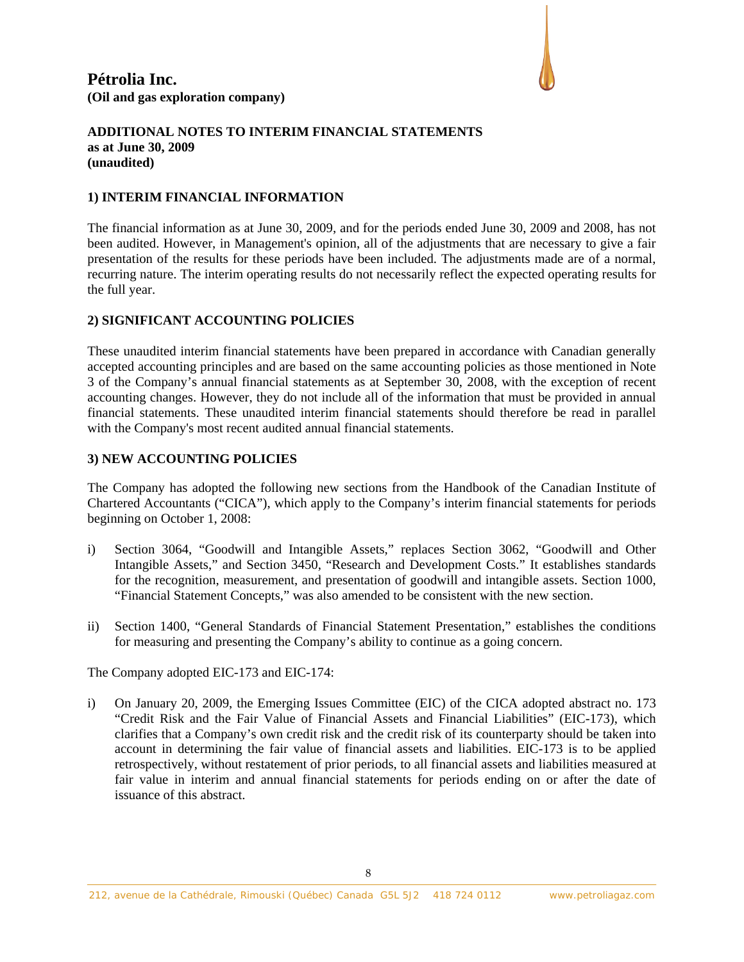

### **1) INTERIM FINANCIAL INFORMATION**

The financial information as at June 30, 2009, and for the periods ended June 30, 2009 and 2008, has not been audited. However, in Management's opinion, all of the adjustments that are necessary to give a fair presentation of the results for these periods have been included. The adjustments made are of a normal, recurring nature. The interim operating results do not necessarily reflect the expected operating results for the full year.

### **2) SIGNIFICANT ACCOUNTING POLICIES**

These unaudited interim financial statements have been prepared in accordance with Canadian generally accepted accounting principles and are based on the same accounting policies as those mentioned in Note 3 of the Company's annual financial statements as at September 30, 2008, with the exception of recent accounting changes. However, they do not include all of the information that must be provided in annual financial statements. These unaudited interim financial statements should therefore be read in parallel with the Company's most recent audited annual financial statements.

### **3) NEW ACCOUNTING POLICIES**

The Company has adopted the following new sections from the Handbook of the Canadian Institute of Chartered Accountants ("CICA"), which apply to the Company's interim financial statements for periods beginning on October 1, 2008:

- i) Section 3064, "Goodwill and Intangible Assets," replaces Section 3062, "Goodwill and Other Intangible Assets," and Section 3450, "Research and Development Costs." It establishes standards for the recognition, measurement, and presentation of goodwill and intangible assets. Section 1000, "Financial Statement Concepts," was also amended to be consistent with the new section.
- ii) Section 1400, "General Standards of Financial Statement Presentation," establishes the conditions for measuring and presenting the Company's ability to continue as a going concern.

The Company adopted EIC-173 and EIC-174:

i) On January 20, 2009, the Emerging Issues Committee (EIC) of the CICA adopted abstract no. 173 "Credit Risk and the Fair Value of Financial Assets and Financial Liabilities" (EIC-173), which clarifies that a Company's own credit risk and the credit risk of its counterparty should be taken into account in determining the fair value of financial assets and liabilities. EIC-173 is to be applied retrospectively, without restatement of prior periods, to all financial assets and liabilities measured at fair value in interim and annual financial statements for periods ending on or after the date of issuance of this abstract.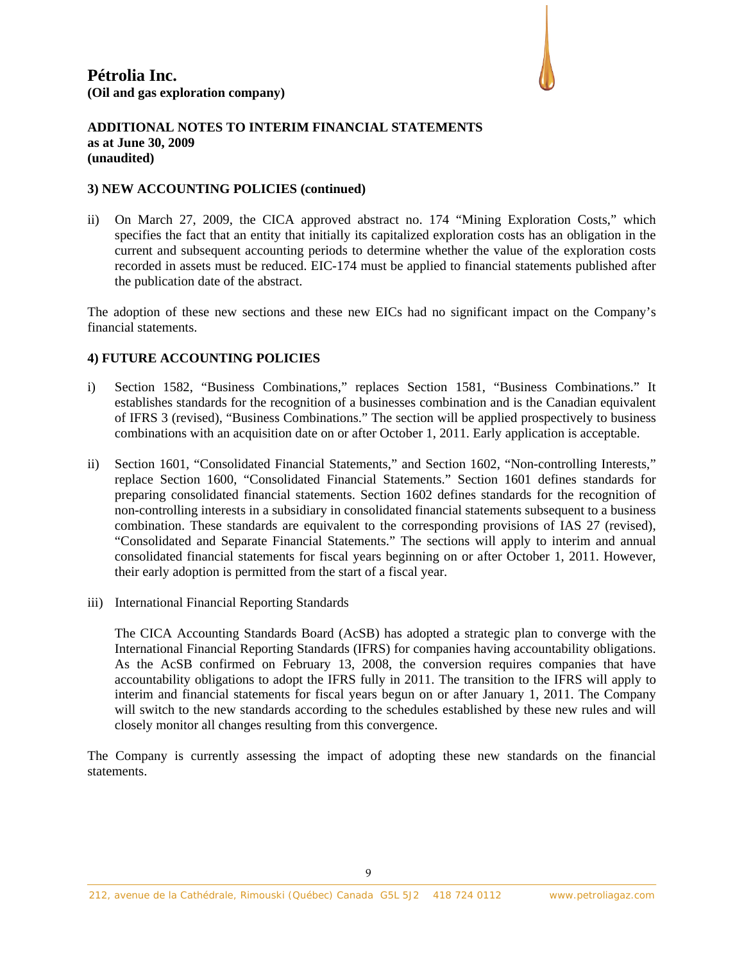

### **3) NEW ACCOUNTING POLICIES (continued)**

ii) On March 27, 2009, the CICA approved abstract no. 174 "Mining Exploration Costs," which specifies the fact that an entity that initially its capitalized exploration costs has an obligation in the current and subsequent accounting periods to determine whether the value of the exploration costs recorded in assets must be reduced. EIC-174 must be applied to financial statements published after the publication date of the abstract.

The adoption of these new sections and these new EICs had no significant impact on the Company's financial statements.

### **4) FUTURE ACCOUNTING POLICIES**

- i) Section 1582, "Business Combinations," replaces Section 1581, "Business Combinations." It establishes standards for the recognition of a businesses combination and is the Canadian equivalent of IFRS 3 (revised), "Business Combinations." The section will be applied prospectively to business combinations with an acquisition date on or after October 1, 2011. Early application is acceptable.
- ii) Section 1601, "Consolidated Financial Statements," and Section 1602, "Non-controlling Interests," replace Section 1600, "Consolidated Financial Statements." Section 1601 defines standards for preparing consolidated financial statements. Section 1602 defines standards for the recognition of non-controlling interests in a subsidiary in consolidated financial statements subsequent to a business combination. These standards are equivalent to the corresponding provisions of IAS 27 (revised), "Consolidated and Separate Financial Statements." The sections will apply to interim and annual consolidated financial statements for fiscal years beginning on or after October 1, 2011. However, their early adoption is permitted from the start of a fiscal year.
- iii) International Financial Reporting Standards

The CICA Accounting Standards Board (AcSB) has adopted a strategic plan to converge with the International Financial Reporting Standards (IFRS) for companies having accountability obligations. As the AcSB confirmed on February 13, 2008, the conversion requires companies that have accountability obligations to adopt the IFRS fully in 2011. The transition to the IFRS will apply to interim and financial statements for fiscal years begun on or after January 1, 2011. The Company will switch to the new standards according to the schedules established by these new rules and will closely monitor all changes resulting from this convergence.

The Company is currently assessing the impact of adopting these new standards on the financial statements.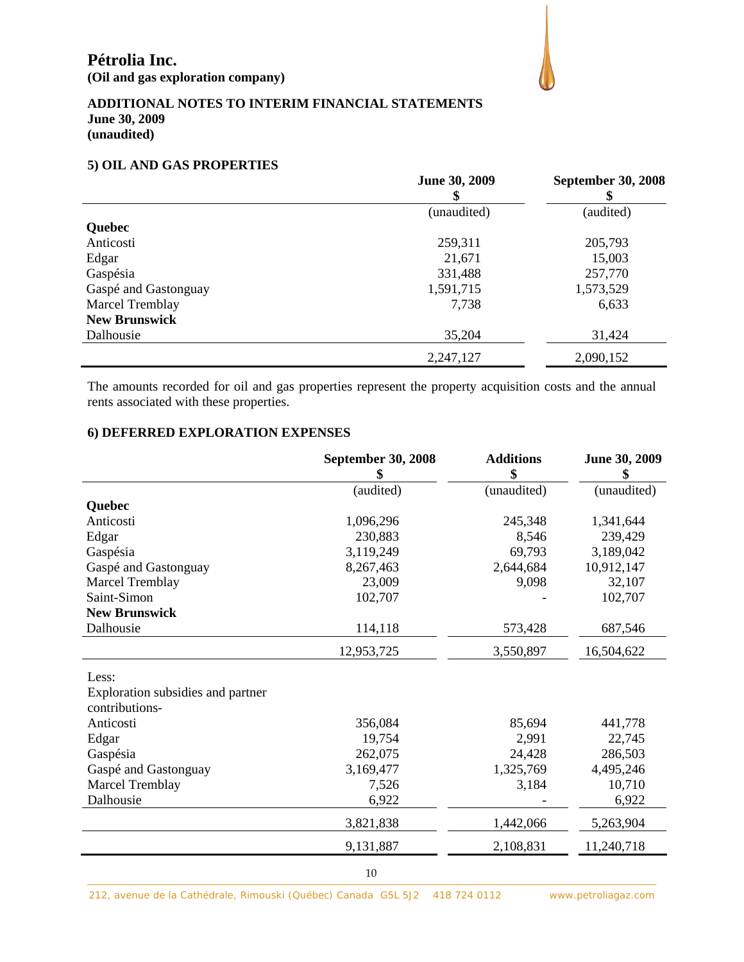### **5) OIL AND GAS PROPERTIES**

|                        | June 30, 2009 | <b>September 30, 2008</b> |
|------------------------|---------------|---------------------------|
|                        | (unaudited)   | (audited)                 |
| Quebec                 |               |                           |
| Anticosti              | 259,311       | 205,793                   |
| Edgar                  | 21,671        | 15,003                    |
| Gaspésia               | 331,488       | 257,770                   |
| Gaspé and Gastonguay   | 1,591,715     | 1,573,529                 |
| <b>Marcel Tremblay</b> | 7,738         | 6,633                     |
| <b>New Brunswick</b>   |               |                           |
| Dalhousie              | 35,204        | 31,424                    |
|                        | 2,247,127     | 2,090,152                 |

The amounts recorded for oil and gas properties represent the property acquisition costs and the annual rents associated with these properties.

# **6) DEFERRED EXPLORATION EXPENSES**

|                                                     | <b>September 30, 2008</b><br>\$ | <b>Additions</b><br>\$ | June 30, 2009<br>\$ |
|-----------------------------------------------------|---------------------------------|------------------------|---------------------|
|                                                     | (audited)                       | (unaudited)            | (unaudited)         |
| Quebec                                              |                                 |                        |                     |
| Anticosti                                           | 1,096,296                       | 245,348                | 1,341,644           |
| Edgar                                               | 230,883                         | 8,546                  | 239,429             |
| Gaspésia                                            | 3,119,249                       | 69,793                 | 3,189,042           |
| Gaspé and Gastonguay                                | 8,267,463                       | 2,644,684              | 10,912,147          |
| <b>Marcel Tremblay</b>                              | 23,009                          | 9,098                  | 32,107              |
| Saint-Simon                                         | 102,707                         |                        | 102,707             |
| <b>New Brunswick</b>                                |                                 |                        |                     |
| Dalhousie                                           | 114,118                         | 573,428                | 687,546             |
|                                                     | 12,953,725                      | 3,550,897              | 16,504,622          |
| Less:                                               |                                 |                        |                     |
| Exploration subsidies and partner<br>contributions- |                                 |                        |                     |
| Anticosti                                           | 356,084                         | 85,694                 | 441,778             |
| Edgar                                               | 19,754                          | 2,991                  | 22,745              |
| Gaspésia                                            | 262,075                         | 24,428                 | 286,503             |
| Gaspé and Gastonguay                                | 3,169,477                       | 1,325,769              | 4,495,246           |
| <b>Marcel Tremblay</b>                              | 7,526                           | 3,184                  | 10,710              |
| Dalhousie                                           | 6,922                           |                        | 6,922               |
|                                                     | 3,821,838                       | 1,442,066              | 5,263,904           |
|                                                     | 9,131,887                       | 2,108,831              | 11,240,718          |
|                                                     |                                 |                        |                     |

212, avenue de la Cathédrale, Rimouski (Québec) Canada G5L 5J2 418 724 0112 www.petroliagaz.com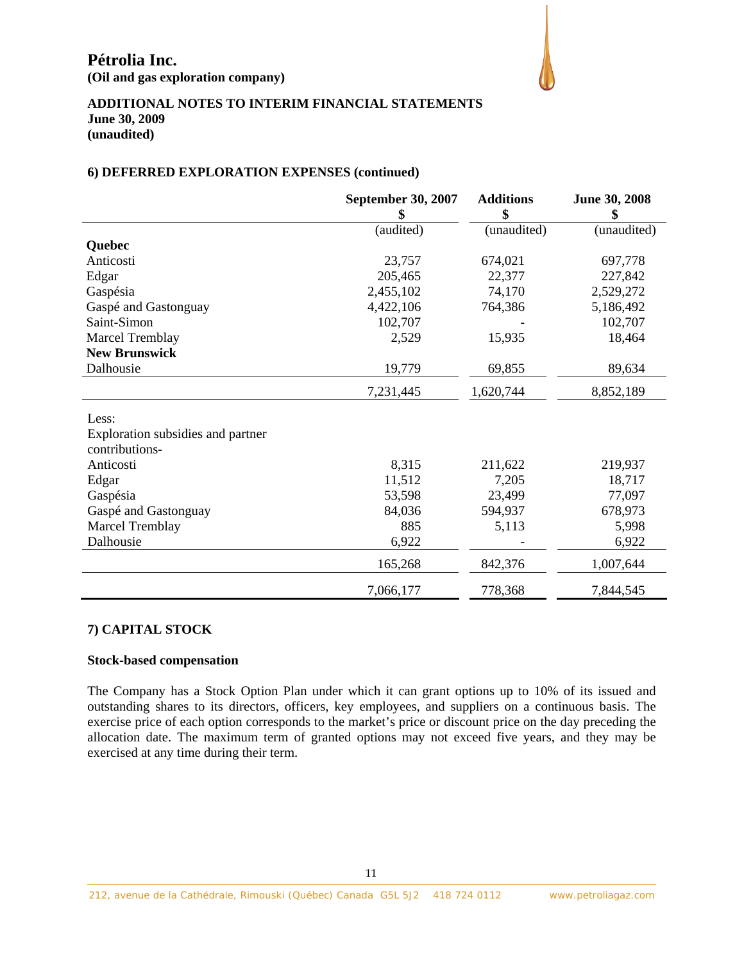

### **6) DEFERRED EXPLORATION EXPENSES (continued)**

|                                   | <b>September 30, 2007</b><br>\$ | <b>Additions</b><br>\$ | June 30, 2008<br>\$ |
|-----------------------------------|---------------------------------|------------------------|---------------------|
|                                   | (audited)                       | (unaudited)            | (unaudited)         |
| <b>Quebec</b>                     |                                 |                        |                     |
| Anticosti                         | 23,757                          | 674,021                | 697,778             |
| Edgar                             | 205,465                         | 22,377                 | 227,842             |
| Gaspésia                          | 2,455,102                       | 74,170                 | 2,529,272           |
| Gaspé and Gastonguay              | 4,422,106                       | 764,386                | 5,186,492           |
| Saint-Simon                       | 102,707                         |                        | 102,707             |
| <b>Marcel Tremblay</b>            | 2,529                           | 15,935                 | 18,464              |
| <b>New Brunswick</b>              |                                 |                        |                     |
| Dalhousie                         | 19,779                          | 69,855                 | 89,634              |
|                                   | 7,231,445                       | 1,620,744              | 8,852,189           |
| Less:                             |                                 |                        |                     |
| Exploration subsidies and partner |                                 |                        |                     |
| contributions-                    |                                 |                        |                     |
| Anticosti                         | 8,315                           | 211,622                | 219,937             |
| Edgar                             | 11,512                          | 7,205                  | 18,717              |
| Gaspésia                          | 53,598                          | 23,499                 | 77,097              |
| Gaspé and Gastonguay              | 84,036                          | 594,937                | 678,973             |
| <b>Marcel Tremblay</b>            | 885                             | 5,113                  | 5,998               |
| Dalhousie                         | 6,922                           |                        | 6,922               |
|                                   | 165,268                         | 842,376                | 1,007,644           |
|                                   | 7,066,177                       | 778,368                | 7,844,545           |

## **7) CAPITAL STOCK**

### **Stock-based compensation**

The Company has a Stock Option Plan under which it can grant options up to 10% of its issued and outstanding shares to its directors, officers, key employees, and suppliers on a continuous basis. The exercise price of each option corresponds to the market's price or discount price on the day preceding the allocation date. The maximum term of granted options may not exceed five years, and they may be exercised at any time during their term.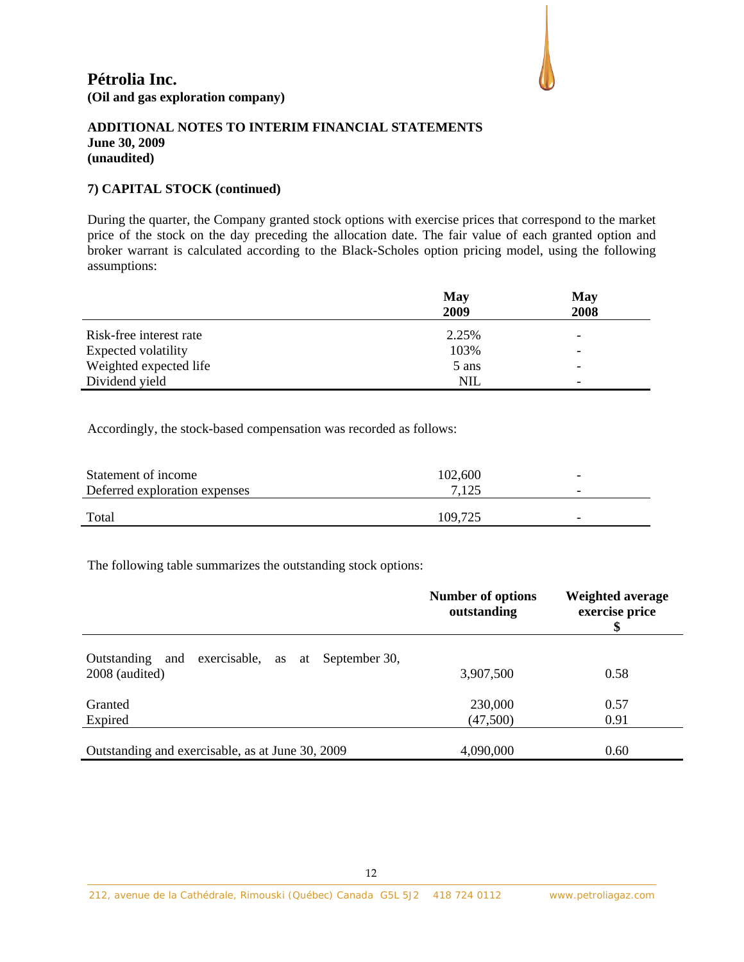

### **7) CAPITAL STOCK (continued)**

During the quarter, the Company granted stock options with exercise prices that correspond to the market price of the stock on the day preceding the allocation date. The fair value of each granted option and broker warrant is calculated according to the Black-Scholes option pricing model, using the following assumptions:

|                         | May        | May                      |  |  |
|-------------------------|------------|--------------------------|--|--|
|                         | 2009       | 2008                     |  |  |
| Risk-free interest rate | 2.25%      | $\overline{\phantom{a}}$ |  |  |
| Expected volatility     | 103%       | $\overline{\phantom{a}}$ |  |  |
| Weighted expected life  | 5 ans      | $\overline{\phantom{a}}$ |  |  |
| Dividend yield          | <b>NIL</b> | $\overline{\phantom{0}}$ |  |  |

Accordingly, the stock-based compensation was recorded as follows:

| 7,125<br>Deferred exploration expenses | $\overline{\phantom{0}}$ |  |
|----------------------------------------|--------------------------|--|
| Total<br>109.725                       | -                        |  |

The following table summarizes the outstanding stock options:

|                                                                          | <b>Number of options</b><br>outstanding | <b>Weighted average</b><br>exercise price |
|--------------------------------------------------------------------------|-----------------------------------------|-------------------------------------------|
| exercisable, as at September 30,<br>Outstanding<br>and<br>2008 (audited) | 3,907,500                               | 0.58                                      |
| Granted<br>Expired                                                       | 230,000<br>(47,500)                     | 0.57<br>0.91                              |
| Outstanding and exercisable, as at June 30, 2009                         | 4,090,000                               | 0.60                                      |